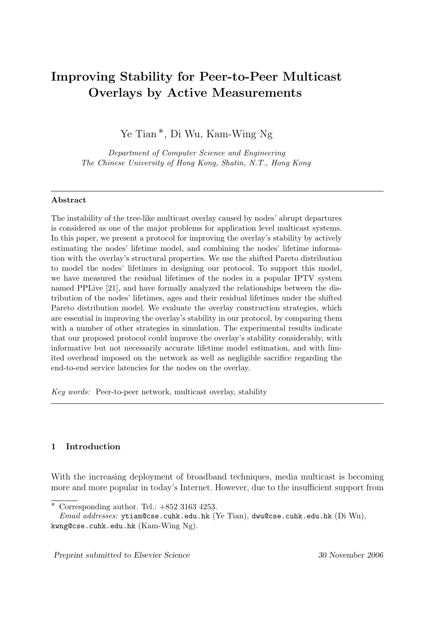# Improving Stability for Peer-to-Peer Multicast Overlays by Active Measurements

Ye Tian ∗, Di Wu, Kam-Wing Ng

Department of Computer Science and Engineering The Chinese University of Hong Kong, Shatin, N.T., Hong Kong

### Abstract

The instability of the tree-like multicast overlay caused by nodes' abrupt departures is considered as one of the major problems for application level multicast systems. In this paper, we present a protocol for improving the overlay's stability by actively estimating the nodes' lifetime model, and combining the nodes' lifetime information with the overlay's structural properties. We use the shifted Pareto distribution to model the nodes' lifetimes in designing our protocol. To support this model, we have measured the residual lifetimes of the nodes in a popular IPTV system named PPLive [21], and have formally analyzed the relationships between the distribution of the nodes' lifetimes, ages and their residual lifetimes under the shifted Pareto distribution model. We evaluate the overlay construction strategies, which are essential in improving the overlay's stability in our protocol, by comparing them with a number of other strategies in simulation. The experimental results indicate that our proposed protocol could improve the overlay's stability considerably, with informative but not necessarily accurate lifetime model estimation, and with limited overhead imposed on the network as well as negligible sacrifice regarding the end-to-end service latencies for the nodes on the overlay.

Key words: Peer-to-peer network, multicast overlay, stability

# 1 Introduction

With the increasing deployment of broadband techniques, media multicast is becoming more and more popular in today's Internet. However, due to the insufficient support from

Preprint submitted to Elsevier Science 30 November 2006

<sup>∗</sup> Corresponding author. Tel.: +852 3163 4253.

Email addresses: ytian@cse.cuhk.edu.hk (Ye Tian), dwu@cse.cuhk.edu.hk (Di Wu), kwng@cse.cuhk.edu.hk (Kam-Wing Ng).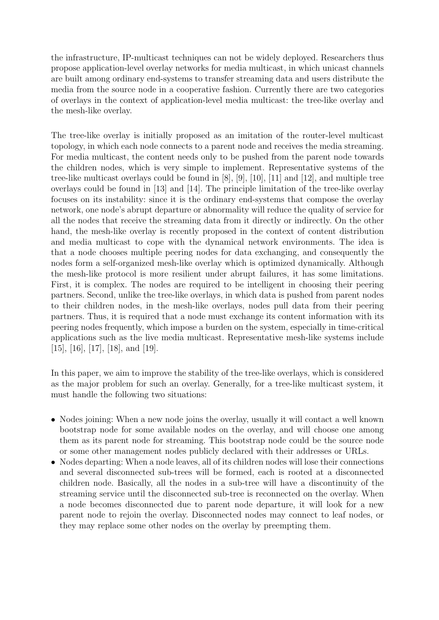the infrastructure, IP-multicast techniques can not be widely deployed. Researchers thus propose application-level overlay networks for media multicast, in which unicast channels are built among ordinary end-systems to transfer streaming data and users distribute the media from the source node in a cooperative fashion. Currently there are two categories of overlays in the context of application-level media multicast: the tree-like overlay and the mesh-like overlay.

The tree-like overlay is initially proposed as an imitation of the router-level multicast topology, in which each node connects to a parent node and receives the media streaming. For media multicast, the content needs only to be pushed from the parent node towards the children nodes, which is very simple to implement. Representative systems of the tree-like multicast overlays could be found in [8], [9], [10], [11] and [12], and multiple tree overlays could be found in [13] and [14]. The principle limitation of the tree-like overlay focuses on its instability: since it is the ordinary end-systems that compose the overlay network, one node's abrupt departure or abnormality will reduce the quality of service for all the nodes that receive the streaming data from it directly or indirectly. On the other hand, the mesh-like overlay is recently proposed in the context of content distribution and media multicast to cope with the dynamical network environments. The idea is that a node chooses multiple peering nodes for data exchanging, and consequently the nodes form a self-organized mesh-like overlay which is optimized dynamically. Although the mesh-like protocol is more resilient under abrupt failures, it has some limitations. First, it is complex. The nodes are required to be intelligent in choosing their peering partners. Second, unlike the tree-like overlays, in which data is pushed from parent nodes to their children nodes, in the mesh-like overlays, nodes pull data from their peering partners. Thus, it is required that a node must exchange its content information with its peering nodes frequently, which impose a burden on the system, especially in time-critical applications such as the live media multicast. Representative mesh-like systems include [15], [16], [17], [18], and [19].

In this paper, we aim to improve the stability of the tree-like overlays, which is considered as the major problem for such an overlay. Generally, for a tree-like multicast system, it must handle the following two situations:

- Nodes joining: When a new node joins the overlay, usually it will contact a well known bootstrap node for some available nodes on the overlay, and will choose one among them as its parent node for streaming. This bootstrap node could be the source node or some other management nodes publicly declared with their addresses or URLs.
- Nodes departing: When a node leaves, all of its children nodes will lose their connections and several disconnected sub-trees will be formed, each is rooted at a disconnected children node. Basically, all the nodes in a sub-tree will have a discontinuity of the streaming service until the disconnected sub-tree is reconnected on the overlay. When a node becomes disconnected due to parent node departure, it will look for a new parent node to rejoin the overlay. Disconnected nodes may connect to leaf nodes, or they may replace some other nodes on the overlay by preempting them.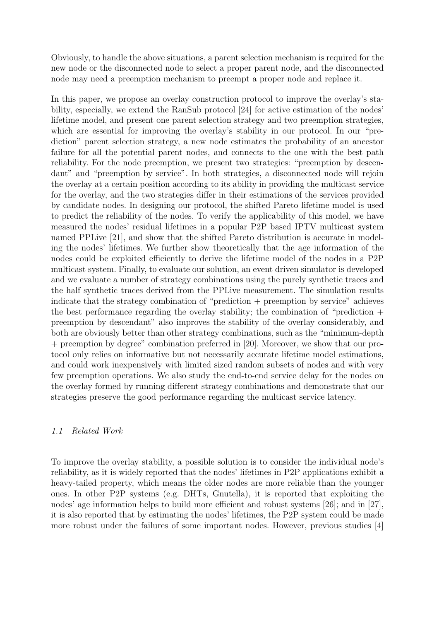Obviously, to handle the above situations, a parent selection mechanism is required for the new node or the disconnected node to select a proper parent node, and the disconnected node may need a preemption mechanism to preempt a proper node and replace it.

In this paper, we propose an overlay construction protocol to improve the overlay's stability, especially, we extend the RanSub protocol [24] for active estimation of the nodes' lifetime model, and present one parent selection strategy and two preemption strategies, which are essential for improving the overlay's stability in our protocol. In our "prediction" parent selection strategy, a new node estimates the probability of an ancestor failure for all the potential parent nodes, and connects to the one with the best path reliability. For the node preemption, we present two strategies: "preemption by descendant" and "preemption by service". In both strategies, a disconnected node will rejoin the overlay at a certain position according to its ability in providing the multicast service for the overlay, and the two strategies differ in their estimations of the services provided by candidate nodes. In designing our protocol, the shifted Pareto lifetime model is used to predict the reliability of the nodes. To verify the applicability of this model, we have measured the nodes' residual lifetimes in a popular P2P based IPTV multicast system named PPLive [21], and show that the shifted Pareto distribution is accurate in modeling the nodes' lifetimes. We further show theoretically that the age information of the nodes could be exploited efficiently to derive the lifetime model of the nodes in a P2P multicast system. Finally, to evaluate our solution, an event driven simulator is developed and we evaluate a number of strategy combinations using the purely synthetic traces and the half synthetic traces derived from the PPLive measurement. The simulation results indicate that the strategy combination of "prediction + preemption by service" achieves the best performance regarding the overlay stability; the combination of "prediction  $+$ preemption by descendant" also improves the stability of the overlay considerably, and both are obviously better than other strategy combinations, such as the "minimum-depth + preemption by degree" combination preferred in [20]. Moreover, we show that our protocol only relies on informative but not necessarily accurate lifetime model estimations, and could work inexpensively with limited sized random subsets of nodes and with very few preemption operations. We also study the end-to-end service delay for the nodes on the overlay formed by running different strategy combinations and demonstrate that our strategies preserve the good performance regarding the multicast service latency.

### 1.1 Related Work

To improve the overlay stability, a possible solution is to consider the individual node's reliability, as it is widely reported that the nodes' lifetimes in P2P applications exhibit a heavy-tailed property, which means the older nodes are more reliable than the younger ones. In other P2P systems (e.g. DHTs, Gnutella), it is reported that exploiting the nodes' age information helps to build more efficient and robust systems [26]; and in [27], it is also reported that by estimating the nodes' lifetimes, the P2P system could be made more robust under the failures of some important nodes. However, previous studies [4]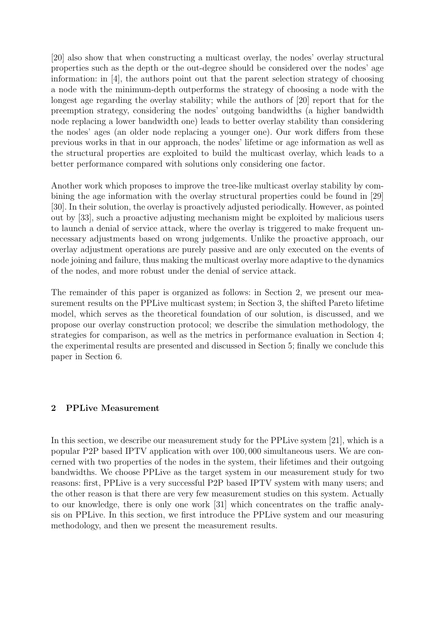[20] also show that when constructing a multicast overlay, the nodes' overlay structural properties such as the depth or the out-degree should be considered over the nodes' age information: in [4], the authors point out that the parent selection strategy of choosing a node with the minimum-depth outperforms the strategy of choosing a node with the longest age regarding the overlay stability; while the authors of [20] report that for the preemption strategy, considering the nodes' outgoing bandwidths (a higher bandwidth node replacing a lower bandwidth one) leads to better overlay stability than considering the nodes' ages (an older node replacing a younger one). Our work differs from these previous works in that in our approach, the nodes' lifetime or age information as well as the structural properties are exploited to build the multicast overlay, which leads to a better performance compared with solutions only considering one factor.

Another work which proposes to improve the tree-like multicast overlay stability by combining the age information with the overlay structural properties could be found in [29] [30]. In their solution, the overlay is proactively adjusted periodically. However, as pointed out by [33], such a proactive adjusting mechanism might be exploited by malicious users to launch a denial of service attack, where the overlay is triggered to make frequent unnecessary adjustments based on wrong judgements. Unlike the proactive approach, our overlay adjustment operations are purely passive and are only executed on the events of node joining and failure, thus making the multicast overlay more adaptive to the dynamics of the nodes, and more robust under the denial of service attack.

The remainder of this paper is organized as follows: in Section 2, we present our measurement results on the PPLive multicast system; in Section 3, the shifted Pareto lifetime model, which serves as the theoretical foundation of our solution, is discussed, and we propose our overlay construction protocol; we describe the simulation methodology, the strategies for comparison, as well as the metrics in performance evaluation in Section 4; the experimental results are presented and discussed in Section 5; finally we conclude this paper in Section 6.

### 2 PPLive Measurement

In this section, we describe our measurement study for the PPLive system [21], which is a popular P2P based IPTV application with over 100, 000 simultaneous users. We are concerned with two properties of the nodes in the system, their lifetimes and their outgoing bandwidths. We choose PPLive as the target system in our measurement study for two reasons: first, PPLive is a very successful P2P based IPTV system with many users; and the other reason is that there are very few measurement studies on this system. Actually to our knowledge, there is only one work [31] which concentrates on the traffic analysis on PPLive. In this section, we first introduce the PPLive system and our measuring methodology, and then we present the measurement results.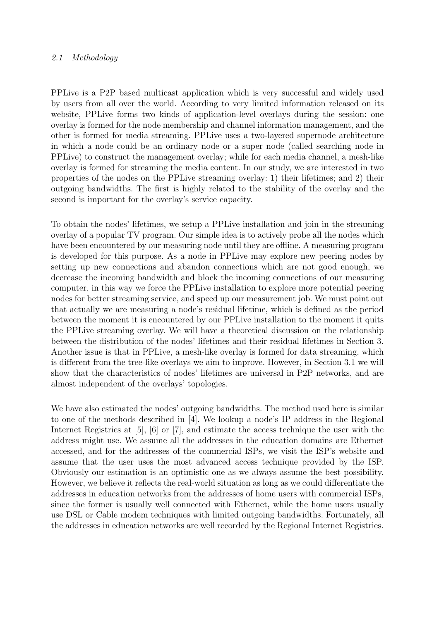### 2.1 Methodology

PPLive is a P2P based multicast application which is very successful and widely used by users from all over the world. According to very limited information released on its website, PPLive forms two kinds of application-level overlays during the session: one overlay is formed for the node membership and channel information management, and the other is formed for media streaming. PPLive uses a two-layered supernode architecture in which a node could be an ordinary node or a super node (called searching node in PPLive) to construct the management overlay; while for each media channel, a mesh-like overlay is formed for streaming the media content. In our study, we are interested in two properties of the nodes on the PPLive streaming overlay: 1) their lifetimes; and 2) their outgoing bandwidths. The first is highly related to the stability of the overlay and the second is important for the overlay's service capacity.

To obtain the nodes' lifetimes, we setup a PPLive installation and join in the streaming overlay of a popular TV program. Our simple idea is to actively probe all the nodes which have been encountered by our measuring node until they are offline. A measuring program is developed for this purpose. As a node in PPLive may explore new peering nodes by setting up new connections and abandon connections which are not good enough, we decrease the incoming bandwidth and block the incoming connections of our measuring computer, in this way we force the PPLive installation to explore more potential peering nodes for better streaming service, and speed up our measurement job. We must point out that actually we are measuring a node's residual lifetime, which is defined as the period between the moment it is encountered by our PPLive installation to the moment it quits the PPLive streaming overlay. We will have a theoretical discussion on the relationship between the distribution of the nodes' lifetimes and their residual lifetimes in Section 3. Another issue is that in PPLive, a mesh-like overlay is formed for data streaming, which is different from the tree-like overlays we aim to improve. However, in Section 3.1 we will show that the characteristics of nodes' lifetimes are universal in P2P networks, and are almost independent of the overlays' topologies.

We have also estimated the nodes' outgoing bandwidths. The method used here is similar to one of the methods described in [4]. We lookup a node's IP address in the Regional Internet Registries at [5], [6] or [7], and estimate the access technique the user with the address might use. We assume all the addresses in the education domains are Ethernet accessed, and for the addresses of the commercial ISPs, we visit the ISP's website and assume that the user uses the most advanced access technique provided by the ISP. Obviously our estimation is an optimistic one as we always assume the best possibility. However, we believe it reflects the real-world situation as long as we could differentiate the addresses in education networks from the addresses of home users with commercial ISPs, since the former is usually well connected with Ethernet, while the home users usually use DSL or Cable modem techniques with limited outgoing bandwidths. Fortunately, all the addresses in education networks are well recorded by the Regional Internet Registries.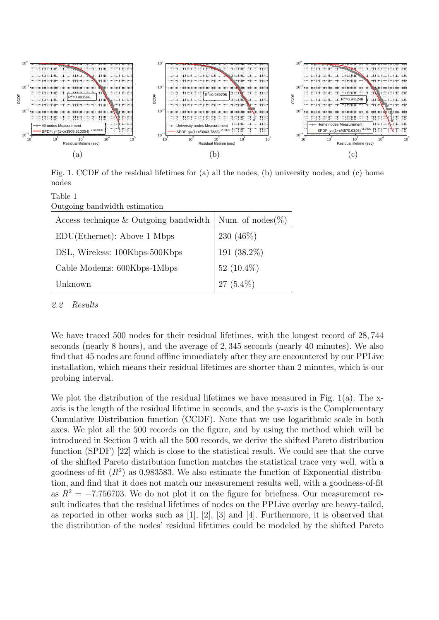

Fig. 1. CCDF of the residual lifetimes for (a) all the nodes, (b) university nodes, and (c) home nodes

#### Table 1

| Outgoing bandwidth estimation |  |
|-------------------------------|--|
|                               |  |

| Access technique & Outgoing bandwidth   Num. of $\text{nodes}(\%)$ |                                                                                                |
|--------------------------------------------------------------------|------------------------------------------------------------------------------------------------|
| EDU(Ethernet): Above 1 Mbps                                        |                                                                                                |
| DSL, Wireless: 100Kbps-500Kbps                                     | $\begin{array}{c} 230 \ (46\%) \\ 191 \ (38.2\%) \\ 52 \ (10.4\%) \\ 27 \ (5.4\%) \end{array}$ |
| Cable Modems: 600Kbps-1Mbps                                        |                                                                                                |
| Unknown                                                            |                                                                                                |

### 2.2 Results

We have traced 500 nodes for their residual lifetimes, with the longest record of 28, 744 seconds (nearly 8 hours), and the average of 2, 345 seconds (nearly 40 minutes). We also find that 45 nodes are found offline immediately after they are encountered by our PPLive installation, which means their residual lifetimes are shorter than 2 minutes, which is our probing interval.

We plot the distribution of the residual lifetimes we have measured in Fig. 1(a). The xaxis is the length of the residual lifetime in seconds, and the y-axis is the Complementary Cumulative Distribution function (CCDF). Note that we use logarithmic scale in both axes. We plot all the 500 records on the figure, and by using the method which will be introduced in Section 3 with all the 500 records, we derive the shifted Pareto distribution function (SPDF) [22] which is close to the statistical result. We could see that the curve of the shifted Pareto distribution function matches the statistical trace very well, with a goodness-of-fit  $(R^2)$  as 0.983583. We also estimate the function of Exponential distribution, and find that it does not match our measurement results well, with a goodness-of-fit as  $R^2 = -7.756703$ . We do not plot it on the figure for briefness. Our measurement result indicates that the residual lifetimes of nodes on the PPLive overlay are heavy-tailed, as reported in other works such as [1], [2], [3] and [4]. Furthermore, it is observed that the distribution of the nodes' residual lifetimes could be modeled by the shifted Pareto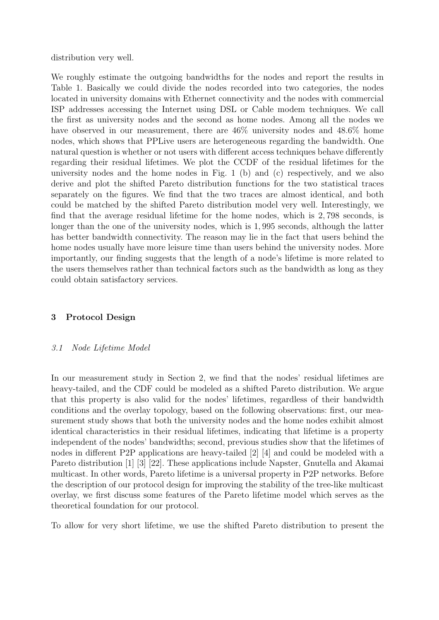distribution very well.

We roughly estimate the outgoing bandwidths for the nodes and report the results in Table 1. Basically we could divide the nodes recorded into two categories, the nodes located in university domains with Ethernet connectivity and the nodes with commercial ISP addresses accessing the Internet using DSL or Cable modem techniques. We call the first as university nodes and the second as home nodes. Among all the nodes we have observed in our measurement, there are  $46\%$  university nodes and  $48.6\%$  home nodes, which shows that PPLive users are heterogeneous regarding the bandwidth. One natural question is whether or not users with different access techniques behave differently regarding their residual lifetimes. We plot the CCDF of the residual lifetimes for the university nodes and the home nodes in Fig. 1 (b) and (c) respectively, and we also derive and plot the shifted Pareto distribution functions for the two statistical traces separately on the figures. We find that the two traces are almost identical, and both could be matched by the shifted Pareto distribution model very well. Interestingly, we find that the average residual lifetime for the home nodes, which is 2, 798 seconds, is longer than the one of the university nodes, which is 1, 995 seconds, although the latter has better bandwidth connectivity. The reason may lie in the fact that users behind the home nodes usually have more leisure time than users behind the university nodes. More importantly, our finding suggests that the length of a node's lifetime is more related to the users themselves rather than technical factors such as the bandwidth as long as they could obtain satisfactory services.

# 3 Protocol Design

### 3.1 Node Lifetime Model

In our measurement study in Section 2, we find that the nodes' residual lifetimes are heavy-tailed, and the CDF could be modeled as a shifted Pareto distribution. We argue that this property is also valid for the nodes' lifetimes, regardless of their bandwidth conditions and the overlay topology, based on the following observations: first, our measurement study shows that both the university nodes and the home nodes exhibit almost identical characteristics in their residual lifetimes, indicating that lifetime is a property independent of the nodes' bandwidths; second, previous studies show that the lifetimes of nodes in different P2P applications are heavy-tailed [2] [4] and could be modeled with a Pareto distribution [1] [3] [22]. These applications include Napster, Gnutella and Akamai multicast. In other words, Pareto lifetime is a universal property in P2P networks. Before the description of our protocol design for improving the stability of the tree-like multicast overlay, we first discuss some features of the Pareto lifetime model which serves as the theoretical foundation for our protocol.

To allow for very short lifetime, we use the shifted Pareto distribution to present the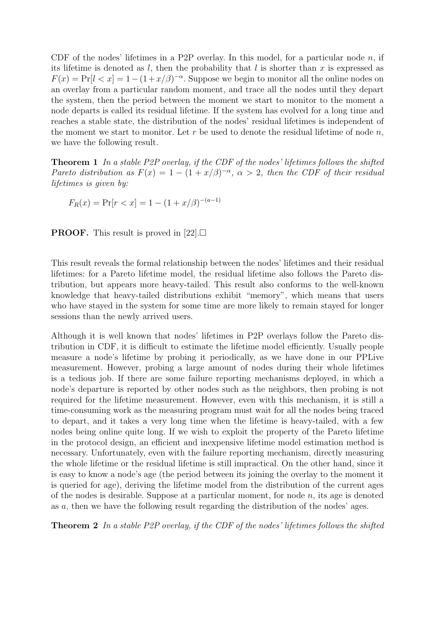CDF of the nodes' lifetimes in a P2P overlay. In this model, for a particular node  $n$ , if its lifetime is denoted as  $l$ , then the probability that  $l$  is shorter than  $x$  is expressed as  $F(x) = Pr[1 < x] = 1 - (1 + x/\beta)^{-\alpha}$ . Suppose we begin to monitor all the online nodes on an overlay from a particular random moment, and trace all the nodes until they depart the system, then the period between the moment we start to monitor to the moment a node departs is called its residual lifetime. If the system has evolved for a long time and reaches a stable state, the distribution of the nodes' residual lifetimes is independent of the moment we start to monitor. Let  $r$  be used to denote the residual lifetime of node  $n$ , we have the following result.

Theorem 1 In a stable P2P overlay, if the CDF of the nodes' lifetimes follows the shifted Pareto distribution as  $F(x) = 1 - (1 + x/\beta)^{-\alpha}$ ,  $\alpha > 2$ , then the CDF of their residual lifetimes is given by:

$$
F_R(x) = \Pr[r < x] = 1 - (1 + x/\beta)^{-(a-1)}
$$

**PROOF.** This result is proved in [22]. $\Box$ 

This result reveals the formal relationship between the nodes' lifetimes and their residual lifetimes: for a Pareto lifetime model, the residual lifetime also follows the Pareto distribution, but appears more heavy-tailed. This result also conforms to the well-known knowledge that heavy-tailed distributions exhibit "memory", which means that users who have stayed in the system for some time are more likely to remain stayed for longer sessions than the newly arrived users.

Although it is well known that nodes' lifetimes in P2P overlays follow the Pareto distribution in CDF, it is difficult to estimate the lifetime model efficiently. Usually people measure a node's lifetime by probing it periodically, as we have done in our PPLive measurement. However, probing a large amount of nodes during their whole lifetimes is a tedious job. If there are some failure reporting mechanisms deployed, in which a node's departure is reported by other nodes such as the neighbors, then probing is not required for the lifetime measurement. However, even with this mechanism, it is still a time-consuming work as the measuring program must wait for all the nodes being traced to depart, and it takes a very long time when the lifetime is heavy-tailed, with a few nodes being online quite long. If we wish to exploit the property of the Pareto lifetime in the protocol design, an efficient and inexpensive lifetime model estimation method is necessary. Unfortunately, even with the failure reporting mechanism, directly measuring the whole lifetime or the residual lifetime is still impractical. On the other hand, since it is easy to know a node's age (the period between its joining the overlay to the moment it is queried for age), deriving the lifetime model from the distribution of the current ages of the nodes is desirable. Suppose at a particular moment, for node  $n$ , its age is denoted as a, then we have the following result regarding the distribution of the nodes' ages.

Theorem 2 In a stable P2P overlay, if the CDF of the nodes' lifetimes follows the shifted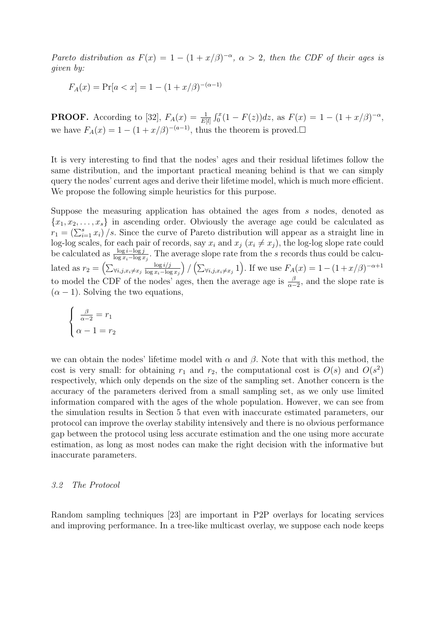Pareto distribution as  $F(x) = 1 - (1 + x/\beta)^{-\alpha}$ ,  $\alpha > 2$ , then the CDF of their ages is given by:

$$
F_A(x) = \Pr[a < x] = 1 - (1 + x/\beta)^{-(\alpha - 1)}
$$

**PROOF.** According to [32],  $F_A(x) = \frac{1}{E[l]}$  $\int x^2$  $F_0^x(1 - F(z))dz$ , as  $F(x) = 1 - (1 + x/\beta)^{-\alpha}$ , we have  $F_A(x) = 1 - (1 + x/\beta)^{-(a-1)}$ , thus the theorem is proved.

It is very interesting to find that the nodes' ages and their residual lifetimes follow the same distribution, and the important practical meaning behind is that we can simply query the nodes' current ages and derive their lifetime model, which is much more efficient. We propose the following simple heuristics for this purpose.

Suppose the measuring application has obtained the ages from s nodes, denoted as  ${x_1, x_2, \ldots, x_s}$  in ascending order. Obviously the average age could be calculated as  $r_1 = (\sum_{i=1}^s x_i)/s$ . Since the curve of Pareto distribution will appear as a straight line in log-log scales, for each pair of records, say  $x_i$  and  $x_j$  ( $x_i \neq x_j$ ), the log-log slope rate could be calculated as  $\frac{\log i-\log j}{\log x_i-\log x_j}$ . The average slope rate from the s records thus could be calculated as  $r_2 =$  $\frac{1}{2}$  $\forall i,j$ , $x_i\neq x_j$  $\log i/j$  $\log x_i - \log x_j$ ´ / ³P  $\forall i,j,x_i\neq x_j$  1 ´ . If we use  $F_A(x) = 1 - (1 + x/\beta)^{-\alpha+1}$ to model the CDF of the nodes' ages, then the average age is  $\frac{\beta}{\alpha-2}$ , and the slope rate is  $(\alpha - 1)$ . Solving the two equations,

$$
\begin{cases} \frac{\beta}{\alpha - 2} = r_1 \\ \alpha - 1 = r_2 \end{cases}
$$

we can obtain the nodes' lifetime model with  $\alpha$  and  $\beta$ . Note that with this method, the cost is very small: for obtaining  $r_1$  and  $r_2$ , the computational cost is  $O(s)$  and  $O(s^2)$ respectively, which only depends on the size of the sampling set. Another concern is the accuracy of the parameters derived from a small sampling set, as we only use limited information compared with the ages of the whole population. However, we can see from the simulation results in Section 5 that even with inaccurate estimated parameters, our protocol can improve the overlay stability intensively and there is no obvious performance gap between the protocol using less accurate estimation and the one using more accurate estimation, as long as most nodes can make the right decision with the informative but inaccurate parameters.

#### 3.2 The Protocol

Random sampling techniques [23] are important in P2P overlays for locating services and improving performance. In a tree-like multicast overlay, we suppose each node keeps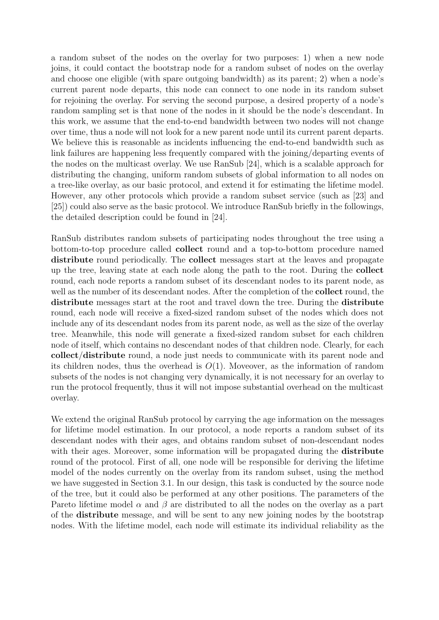a random subset of the nodes on the overlay for two purposes: 1) when a new node joins, it could contact the bootstrap node for a random subset of nodes on the overlay and choose one eligible (with spare outgoing bandwidth) as its parent; 2) when a node's current parent node departs, this node can connect to one node in its random subset for rejoining the overlay. For serving the second purpose, a desired property of a node's random sampling set is that none of the nodes in it should be the node's descendant. In this work, we assume that the end-to-end bandwidth between two nodes will not change over time, thus a node will not look for a new parent node until its current parent departs. We believe this is reasonable as incidents influencing the end-to-end bandwidth such as link failures are happening less frequently compared with the joining/departing events of the nodes on the multicast overlay. We use RanSub [24], which is a scalable approach for distributing the changing, uniform random subsets of global information to all nodes on a tree-like overlay, as our basic protocol, and extend it for estimating the lifetime model. However, any other protocols which provide a random subset service (such as [23] and [25]) could also serve as the basic protocol. We introduce RanSub briefly in the followings, the detailed description could be found in [24].

RanSub distributes random subsets of participating nodes throughout the tree using a bottom-to-top procedure called collect round and a top-to-bottom procedure named distribute round periodically. The collect messages start at the leaves and propagate up the tree, leaving state at each node along the path to the root. During the collect round, each node reports a random subset of its descendant nodes to its parent node, as well as the number of its descendant nodes. After the completion of the **collect** round, the distribute messages start at the root and travel down the tree. During the distribute round, each node will receive a fixed-sized random subset of the nodes which does not include any of its descendant nodes from its parent node, as well as the size of the overlay tree. Meanwhile, this node will generate a fixed-sized random subset for each children node of itself, which contains no descendant nodes of that children node. Clearly, for each collect/distribute round, a node just needs to communicate with its parent node and its children nodes, thus the overhead is  $O(1)$ . Moveover, as the information of random subsets of the nodes is not changing very dynamically, it is not necessary for an overlay to run the protocol frequently, thus it will not impose substantial overhead on the multicast overlay.

We extend the original RanSub protocol by carrying the age information on the messages for lifetime model estimation. In our protocol, a node reports a random subset of its descendant nodes with their ages, and obtains random subset of non-descendant nodes with their ages. Moreover, some information will be propagated during the **distribute** round of the protocol. First of all, one node will be responsible for deriving the lifetime model of the nodes currently on the overlay from its random subset, using the method we have suggested in Section 3.1. In our design, this task is conducted by the source node of the tree, but it could also be performed at any other positions. The parameters of the Pareto lifetime model  $\alpha$  and  $\beta$  are distributed to all the nodes on the overlay as a part of the distribute message, and will be sent to any new joining nodes by the bootstrap nodes. With the lifetime model, each node will estimate its individual reliability as the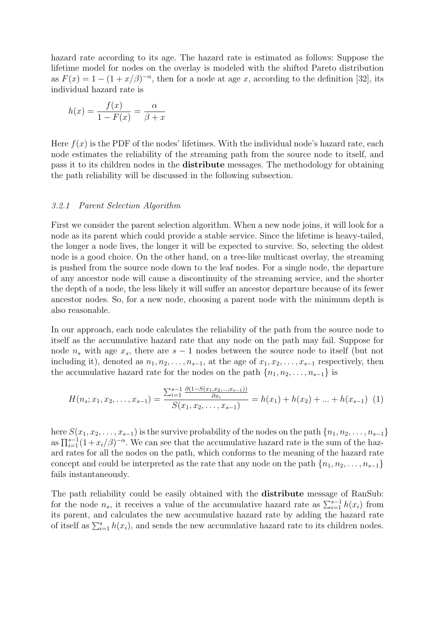hazard rate according to its age. The hazard rate is estimated as follows: Suppose the lifetime model for nodes on the overlay is modeled with the shifted Pareto distribution as  $F(x) = 1 - (1 + x/\beta)^{-\alpha}$ , then for a node at age x, according to the definition [32], its individual hazard rate is

$$
h(x) = \frac{f(x)}{1 - F(x)} = \frac{\alpha}{\beta + x}
$$

Here  $f(x)$  is the PDF of the nodes' lifetimes. With the individual node's hazard rate, each node estimates the reliability of the streaming path from the source node to itself, and pass it to its children nodes in the distribute messages. The methodology for obtaining the path reliability will be discussed in the following subsection.

#### 3.2.1 Parent Selection Algorithm

First we consider the parent selection algorithm. When a new node joins, it will look for a node as its parent which could provide a stable service. Since the lifetime is heavy-tailed, the longer a node lives, the longer it will be expected to survive. So, selecting the oldest node is a good choice. On the other hand, on a tree-like multicast overlay, the streaming is pushed from the source node down to the leaf nodes. For a single node, the departure of any ancestor node will cause a discontinuity of the streaming service, and the shorter the depth of a node, the less likely it will suffer an ancestor departure because of its fewer ancestor nodes. So, for a new node, choosing a parent node with the minimum depth is also reasonable.

In our approach, each node calculates the reliability of the path from the source node to itself as the accumulative hazard rate that any node on the path may fail. Suppose for node  $n_s$  with age  $x_s$ , there are  $s-1$  nodes between the source node to itself (but not including it), denoted as  $n_1, n_2, \ldots, n_{s-1}$ , at the age of  $x_1, x_2, \ldots, x_{s-1}$  respectively, then the accumulative hazard rate for the nodes on the path  ${n_1, n_2, \ldots, n_{s-1}}$  is

$$
H(n_s; x_1, x_2, \dots, x_{s-1}) = \frac{\sum_{i=1}^{s-1} \frac{\partial (1 - S(x_1, x_2, \dots, x_{s-1}))}{\partial x_i}}{S(x_1, x_2, \dots, x_{s-1})} = h(x_1) + h(x_2) + \dots + h(x_{s-1}) \tag{1}
$$

here  $S(x_1, x_2, \ldots, x_{s-1})$  is the survive probability of the nodes on the path  $\{n_1, n_2, \ldots, n_{s-1}\}$  $\lim_{n \to \infty} \sum_{i=1}^{s-1} (1+x_i/\beta)^{-\alpha}$ . We can see that the accumulative hazard rate is the sum of the hazard rates for all the nodes on the path, which conforms to the meaning of the hazard rate concept and could be interpreted as the rate that any node on the path  $\{n_1, n_2, \ldots, n_{s-1}\}\$ fails instantaneously.

The path reliability could be easily obtained with the distribute message of RanSub: for the node  $n_s$ , it receives a value of the accumulative hazard rate as  $\sum_{i=1}^{s-1} h(x_i)$  from its parent, and calculates the new accumulative hazard rate by adding the hazard rate for parent, and calculates the new accumulative hazard rate by adding the hazard rate of itself as  $\sum_{i=1}^{s} h(x_i)$ , and sends the new accumulative hazard rate to its children nodes.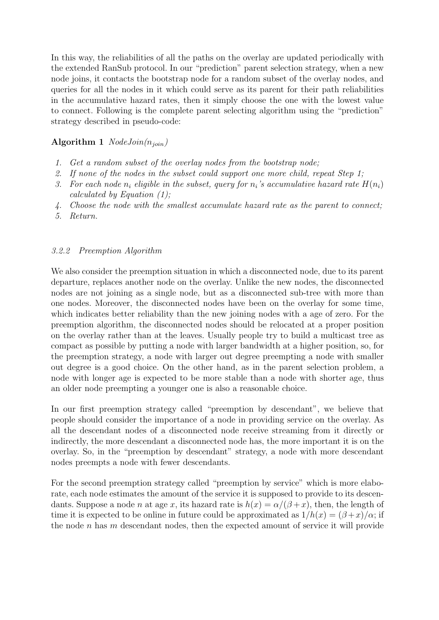In this way, the reliabilities of all the paths on the overlay are updated periodically with the extended RanSub protocol. In our "prediction" parent selection strategy, when a new node joins, it contacts the bootstrap node for a random subset of the overlay nodes, and queries for all the nodes in it which could serve as its parent for their path reliabilities in the accumulative hazard rates, then it simply choose the one with the lowest value to connect. Following is the complete parent selecting algorithm using the "prediction" strategy described in pseudo-code:

# Algorithm 1  $NodeJoin(n_{join})$

- 1. Get a random subset of the overlay nodes from the bootstrap node;
- 2. If none of the nodes in the subset could support one more child, repeat Step 1;
- 3. For each node  $n_i$  eligible in the subset, query for  $n_i$ 's accumulative hazard rate  $H(n_i)$ calculated by Equation  $(1)$ ;
- 4. Choose the node with the smallest accumulate hazard rate as the parent to connect;
- 5. Return.

# 3.2.2 Preemption Algorithm

We also consider the preemption situation in which a disconnected node, due to its parent departure, replaces another node on the overlay. Unlike the new nodes, the disconnected nodes are not joining as a single node, but as a disconnected sub-tree with more than one nodes. Moreover, the disconnected nodes have been on the overlay for some time, which indicates better reliability than the new joining nodes with a age of zero. For the preemption algorithm, the disconnected nodes should be relocated at a proper position on the overlay rather than at the leaves. Usually people try to build a multicast tree as compact as possible by putting a node with larger bandwidth at a higher position, so, for the preemption strategy, a node with larger out degree preempting a node with smaller out degree is a good choice. On the other hand, as in the parent selection problem, a node with longer age is expected to be more stable than a node with shorter age, thus an older node preempting a younger one is also a reasonable choice.

In our first preemption strategy called "preemption by descendant", we believe that people should consider the importance of a node in providing service on the overlay. As all the descendant nodes of a disconnected node receive streaming from it directly or indirectly, the more descendant a disconnected node has, the more important it is on the overlay. So, in the "preemption by descendant" strategy, a node with more descendant nodes preempts a node with fewer descendants.

For the second preemption strategy called "preemption by service" which is more elaborate, each node estimates the amount of the service it is supposed to provide to its descendants. Suppose a node *n* at age *x*, its hazard rate is  $h(x) = \alpha/(\beta + x)$ , then, the length of time it is expected to be online in future could be approximated as  $1/h(x) = (\beta + x)/\alpha$ ; if the node  $n$  has  $m$  descendant nodes, then the expected amount of service it will provide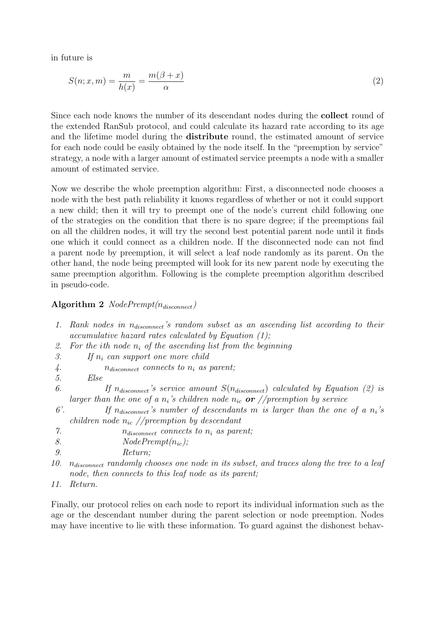in future is

$$
S(n; x, m) = \frac{m}{h(x)} = \frac{m(\beta + x)}{\alpha} \tag{2}
$$

Since each node knows the number of its descendant nodes during the collect round of the extended RanSub protocol, and could calculate its hazard rate according to its age and the lifetime model during the distribute round, the estimated amount of service for each node could be easily obtained by the node itself. In the "preemption by service" strategy, a node with a larger amount of estimated service preempts a node with a smaller amount of estimated service.

Now we describe the whole preemption algorithm: First, a disconnected node chooses a node with the best path reliability it knows regardless of whether or not it could support a new child; then it will try to preempt one of the node's current child following one of the strategies on the condition that there is no spare degree; if the preemptions fail on all the children nodes, it will try the second best potential parent node until it finds one which it could connect as a children node. If the disconnected node can not find a parent node by preemption, it will select a leaf node randomly as its parent. On the other hand, the node being preempted will look for its new parent node by executing the same preemption algorithm. Following is the complete preemption algorithm described in pseudo-code.

# Algorithm 2  $NodePrempt(n_{disconnect})$

| 1.              | Rank nodes in $n_{disconnect}$ 's random subset as an ascending list according to their       |
|-----------------|-----------------------------------------------------------------------------------------------|
|                 | $accumulative$ hazard rates calculated by Equation $(1)$ ;                                    |
| 2.              | For the ith node $n_i$ of the ascending list from the beginning                               |
| 3.              | If $n_i$ can support one more child                                                           |
| $\frac{1}{4}$ . | $n_{disconnect}$ connects to $n_i$ as parent;                                                 |
| 5.              | Else                                                                                          |
| 6.              | If $n_{disconnect}$ 's service amount $S(n_{disconnect})$ calculated by Equation (2) is       |
|                 | larger than the one of a $n_i$ 's children node $n_i$ or //preemption by service              |
| $6^\prime$ .    | If $n_{disconnect}$ 's number of descendants m is larger than the one of a $n_i$ 's           |
|                 | children node $n_{ic}$ //preemption by descendant                                             |
| 7.              | $n_{disconnect}$ connects to $n_i$ as parent;                                                 |
| 8.              | $NodePrempt(n_{ic});$                                                                         |
| 9.              | Return;                                                                                       |
| 10.             | $n_{disconnect}$ randomly chooses one node in its subset, and traces along the tree to a leaf |
|                 | node, then connects to this leaf node as its parent;                                          |

11. Return.

Finally, our protocol relies on each node to report its individual information such as the age or the descendant number during the parent selection or node preemption. Nodes may have incentive to lie with these information. To guard against the dishonest behav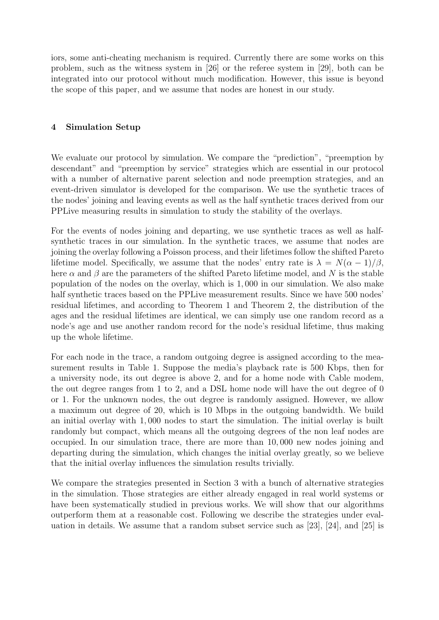iors, some anti-cheating mechanism is required. Currently there are some works on this problem, such as the witness system in [26] or the referee system in [29], both can be integrated into our protocol without much modification. However, this issue is beyond the scope of this paper, and we assume that nodes are honest in our study.

# 4 Simulation Setup

We evaluate our protocol by simulation. We compare the "prediction", "preemption by descendant" and "preemption by service" strategies which are essential in our protocol with a number of alternative parent selection and node preemption strategies, and an event-driven simulator is developed for the comparison. We use the synthetic traces of the nodes' joining and leaving events as well as the half synthetic traces derived from our PPLive measuring results in simulation to study the stability of the overlays.

For the events of nodes joining and departing, we use synthetic traces as well as halfsynthetic traces in our simulation. In the synthetic traces, we assume that nodes are joining the overlay following a Poisson process, and their lifetimes follow the shifted Pareto lifetime model. Specifically, we assume that the nodes' entry rate is  $\lambda = N(\alpha - 1)/\beta$ , here  $\alpha$  and  $\beta$  are the parameters of the shifted Pareto lifetime model, and N is the stable population of the nodes on the overlay, which is 1, 000 in our simulation. We also make half synthetic traces based on the PPLive measurement results. Since we have 500 nodes' residual lifetimes, and according to Theorem 1 and Theorem 2, the distribution of the ages and the residual lifetimes are identical, we can simply use one random record as a node's age and use another random record for the node's residual lifetime, thus making up the whole lifetime.

For each node in the trace, a random outgoing degree is assigned according to the measurement results in Table 1. Suppose the media's playback rate is 500 Kbps, then for a university node, its out degree is above 2, and for a home node with Cable modem, the out degree ranges from 1 to 2, and a DSL home node will have the out degree of 0 or 1. For the unknown nodes, the out degree is randomly assigned. However, we allow a maximum out degree of 20, which is 10 Mbps in the outgoing bandwidth. We build an initial overlay with 1, 000 nodes to start the simulation. The initial overlay is built randomly but compact, which means all the outgoing degrees of the non leaf nodes are occupied. In our simulation trace, there are more than 10, 000 new nodes joining and departing during the simulation, which changes the initial overlay greatly, so we believe that the initial overlay influences the simulation results trivially.

We compare the strategies presented in Section 3 with a bunch of alternative strategies in the simulation. Those strategies are either already engaged in real world systems or have been systematically studied in previous works. We will show that our algorithms outperform them at a reasonable cost. Following we describe the strategies under evaluation in details. We assume that a random subset service such as [23], [24], and [25] is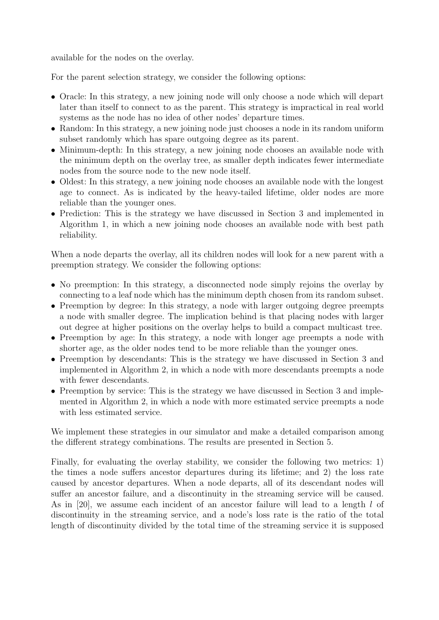available for the nodes on the overlay.

For the parent selection strategy, we consider the following options:

- Oracle: In this strategy, a new joining node will only choose a node which will depart later than itself to connect to as the parent. This strategy is impractical in real world systems as the node has no idea of other nodes' departure times.
- Random: In this strategy, a new joining node just chooses a node in its random uniform subset randomly which has spare outgoing degree as its parent.
- Minimum-depth: In this strategy, a new joining node chooses an available node with the minimum depth on the overlay tree, as smaller depth indicates fewer intermediate nodes from the source node to the new node itself.
- Oldest: In this strategy, a new joining node chooses an available node with the longest age to connect. As is indicated by the heavy-tailed lifetime, older nodes are more reliable than the younger ones.
- Prediction: This is the strategy we have discussed in Section 3 and implemented in Algorithm 1, in which a new joining node chooses an available node with best path reliability.

When a node departs the overlay, all its children nodes will look for a new parent with a preemption strategy. We consider the following options:

- No preemption: In this strategy, a disconnected node simply rejoins the overlay by connecting to a leaf node which has the minimum depth chosen from its random subset.
- Preemption by degree: In this strategy, a node with larger outgoing degree preempts a node with smaller degree. The implication behind is that placing nodes with larger out degree at higher positions on the overlay helps to build a compact multicast tree.
- Preemption by age: In this strategy, a node with longer age preempts a node with shorter age, as the older nodes tend to be more reliable than the younger ones.
- Preemption by descendants: This is the strategy we have discussed in Section 3 and implemented in Algorithm 2, in which a node with more descendants preempts a node with fewer descendants.
- Preemption by service: This is the strategy we have discussed in Section 3 and implemented in Algorithm 2, in which a node with more estimated service preempts a node with less estimated service.

We implement these strategies in our simulator and make a detailed comparison among the different strategy combinations. The results are presented in Section 5.

Finally, for evaluating the overlay stability, we consider the following two metrics: 1) the times a node suffers ancestor departures during its lifetime; and 2) the loss rate caused by ancestor departures. When a node departs, all of its descendant nodes will suffer an ancestor failure, and a discontinuity in the streaming service will be caused. As in [20], we assume each incident of an ancestor failure will lead to a length l of discontinuity in the streaming service, and a node's loss rate is the ratio of the total length of discontinuity divided by the total time of the streaming service it is supposed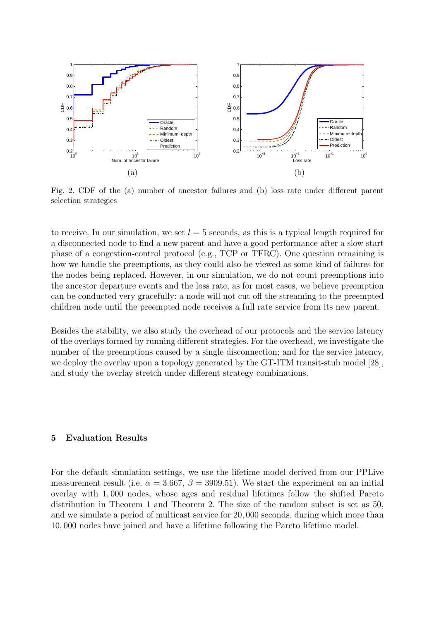

Fig. 2. CDF of the (a) number of ancestor failures and (b) loss rate under different parent selection strategies

to receive. In our simulation, we set  $l = 5$  seconds, as this is a typical length required for a disconnected node to find a new parent and have a good performance after a slow start phase of a congestion-control protocol (e.g., TCP or TFRC). One question remaining is how we handle the preemptions, as they could also be viewed as some kind of failures for the nodes being replaced. However, in our simulation, we do not count preemptions into the ancestor departure events and the loss rate, as for most cases, we believe preemption can be conducted very gracefully: a node will not cut off the streaming to the preempted children node until the preempted node receives a full rate service from its new parent.

Besides the stability, we also study the overhead of our protocols and the service latency of the overlays formed by running different strategies. For the overhead, we investigate the number of the preemptions caused by a single disconnection; and for the service latency, we deploy the overlay upon a topology generated by the GT-ITM transit-stub model [28], and study the overlay stretch under different strategy combinations.

### 5 Evaluation Results

For the default simulation settings, we use the lifetime model derived from our PPLive measurement result (i.e.  $\alpha = 3.667$ ,  $\beta = 3909.51$ ). We start the experiment on an initial overlay with 1, 000 nodes, whose ages and residual lifetimes follow the shifted Pareto distribution in Theorem 1 and Theorem 2. The size of the random subset is set as 50, and we simulate a period of multicast service for 20, 000 seconds, during which more than 10, 000 nodes have joined and have a lifetime following the Pareto lifetime model.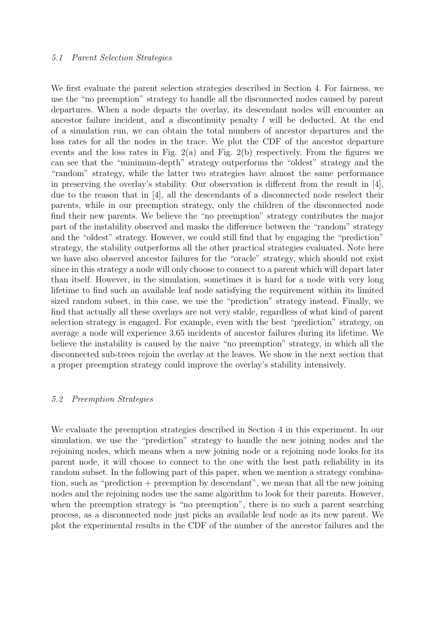#### 5.1 Parent Selection Strategies

We first evaluate the parent selection strategies described in Section 4. For fairness, we use the "no preemption" strategy to handle all the disconnected nodes caused by parent departures. When a node departs the overlay, its descendant nodes will encounter an ancestor failure incident, and a discontinuity penalty  $l$  will be deducted. At the end of a simulation run, we can obtain the total numbers of ancestor departures and the loss rates for all the nodes in the trace. We plot the CDF of the ancestor departure events and the loss rates in Fig.  $2(a)$  and Fig.  $2(b)$  respectively. From the figures we can see that the "minimum-depth" strategy outperforms the "oldest" strategy and the "random" strategy, while the latter two strategies have almost the same performance in preserving the overlay's stability. Our observation is different from the result in  $[4]$ , due to the reason that in [4], all the descendants of a disconnected node reselect their parents, while in our preemption strategy, only the children of the disconnected node find their new parents. We believe the "no preemption" strategy contributes the major part of the instability observed and masks the difference between the "random" strategy and the "oldest" strategy. However, we could still find that by engaging the "prediction" strategy, the stability outperforms all the other practical strategies evaluated. Note here we have also observed ancestor failures for the "oracle" strategy, which should not exist since in this strategy a node will only choose to connect to a parent which will depart later than itself. However, in the simulation, sometimes it is hard for a node with very long lifetime to find such an available leaf node satisfying the requirement within its limited sized random subset, in this case, we use the "prediction" strategy instead. Finally, we find that actually all these overlays are not very stable, regardless of what kind of parent selection strategy is engaged. For example, even with the best "prediction" strategy, on average a node will experience 3.65 incidents of ancestor failures during its lifetime. We believe the instability is caused by the naive "no preemption" strategy, in which all the disconnected sub-trees rejoin the overlay at the leaves. We show in the next section that a proper preemption strategy could improve the overlay's stability intensively.

### 5.2 Preemption Strategies

We evaluate the preemption strategies described in Section 4 in this experiment. In our simulation, we use the "prediction" strategy to handle the new joining nodes and the rejoining nodes, which means when a new joining node or a rejoining node looks for its parent node, it will choose to connect to the one with the best path reliability in its random subset. In the following part of this paper, when we mention a strategy combination, such as "prediction + preemption by descendant", we mean that all the new joining nodes and the rejoining nodes use the same algorithm to look for their parents. However, when the preemption strategy is "no preemption", there is no such a parent searching process, as a disconnected node just picks an available leaf node as its new parent. We plot the experimental results in the CDF of the number of the ancestor failures and the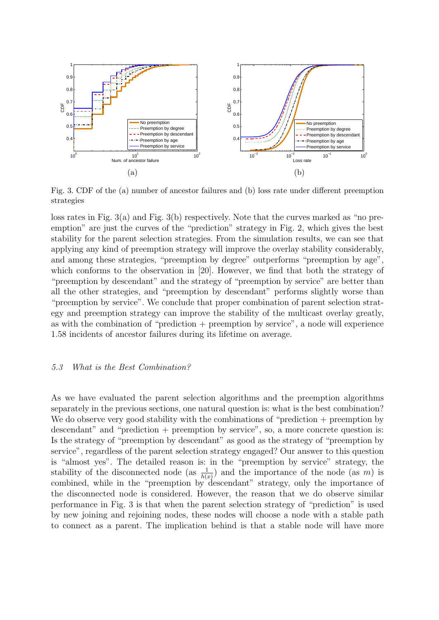

Fig. 3. CDF of the (a) number of ancestor failures and (b) loss rate under different preemption strategies

loss rates in Fig. 3(a) and Fig. 3(b) respectively. Note that the curves marked as "no preemption" are just the curves of the "prediction" strategy in Fig. 2, which gives the best stability for the parent selection strategies. From the simulation results, we can see that applying any kind of preemption strategy will improve the overlay stability considerably, and among these strategies, "preemption by degree" outperforms "preemption by age", which conforms to the observation in [20]. However, we find that both the strategy of "preemption by descendant" and the strategy of "preemption by service" are better than all the other strategies, and "preemption by descendant" performs slightly worse than "preemption by service". We conclude that proper combination of parent selection strategy and preemption strategy can improve the stability of the multicast overlay greatly, as with the combination of "prediction  $+$  preemption by service", a node will experience 1.58 incidents of ancestor failures during its lifetime on average.

### 5.3 What is the Best Combination?

As we have evaluated the parent selection algorithms and the preemption algorithms separately in the previous sections, one natural question is: what is the best combination? We do observe very good stability with the combinations of "prediction + preemption by descendant" and "prediction + preemption by service", so, a more concrete question is: Is the strategy of "preemption by descendant" as good as the strategy of "preemption by service", regardless of the parent selection strategy engaged? Our answer to this question is "almost yes". The detailed reason is: in the "preemption by service" strategy, the stability of the disconnected node (as  $\frac{1}{h(x)}$ ) and the importance of the node (as m) is combined, while in the "preemption by descendant" strategy, only the importance of the disconnected node is considered. However, the reason that we do observe similar performance in Fig. 3 is that when the parent selection strategy of "prediction" is used by new joining and rejoining nodes, these nodes will choose a node with a stable path to connect as a parent. The implication behind is that a stable node will have more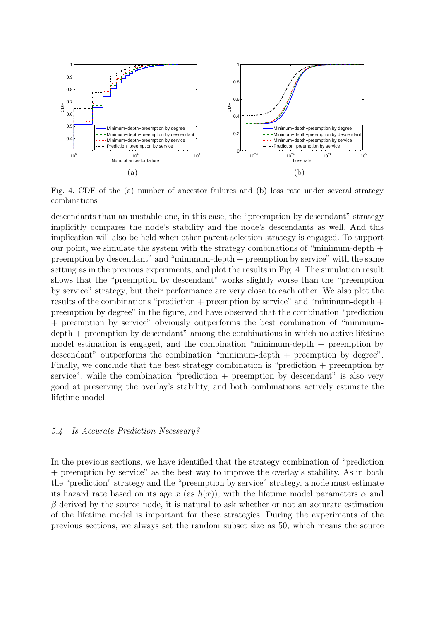

Fig. 4. CDF of the (a) number of ancestor failures and (b) loss rate under several strategy combinations

descendants than an unstable one, in this case, the "preemption by descendant" strategy implicitly compares the node's stability and the node's descendants as well. And this implication will also be held when other parent selection strategy is engaged. To support our point, we simulate the system with the strategy combinations of "minimum-depth + preemption by descendant" and "minimum-depth + preemption by service" with the same setting as in the previous experiments, and plot the results in Fig. 4. The simulation result shows that the "preemption by descendant" works slightly worse than the "preemption by service" strategy, but their performance are very close to each other. We also plot the results of the combinations "prediction + preemption by service" and "minimum-depth + preemption by degree" in the figure, and have observed that the combination "prediction + preemption by service" obviously outperforms the best combination of "minimumdepth + preemption by descendant" among the combinations in which no active lifetime model estimation is engaged, and the combination "minimum-depth + preemption by descendant" outperforms the combination "minimum-depth + preemption by degree". Finally, we conclude that the best strategy combination is "prediction + preemption by service", while the combination "prediction + preemption by descendant" is also very good at preserving the overlay's stability, and both combinations actively estimate the lifetime model.

### 5.4 Is Accurate Prediction Necessary?

In the previous sections, we have identified that the strategy combination of "prediction + preemption by service" as the best way to improve the overlay's stability. As in both the "prediction" strategy and the "preemption by service" strategy, a node must estimate its hazard rate based on its age x (as  $h(x)$ ), with the lifetime model parameters  $\alpha$  and  $\beta$  derived by the source node, it is natural to ask whether or not an accurate estimation of the lifetime model is important for these strategies. During the experiments of the previous sections, we always set the random subset size as 50, which means the source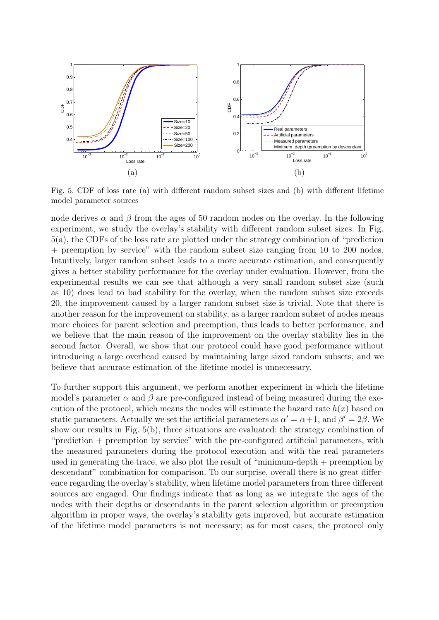

Fig. 5. CDF of loss rate (a) with different random subset sizes and (b) with different lifetime model parameter sources

node derives  $\alpha$  and  $\beta$  from the ages of 50 random nodes on the overlay. In the following experiment, we study the overlay's stability with different random subset sizes. In Fig. 5(a), the CDFs of the loss rate are plotted under the strategy combination of "prediction + preemption by service" with the random subset size ranging from 10 to 200 nodes. Intuitively, larger random subset leads to a more accurate estimation, and consequently gives a better stability performance for the overlay under evaluation. However, from the experimental results we can see that although a very small random subset size (such as 10) does lead to bad stability for the overlay, when the random subset size exceeds 20, the improvement caused by a larger random subset size is trivial. Note that there is another reason for the improvement on stability, as a larger random subset of nodes means more choices for parent selection and preemption, thus leads to better performance, and we believe that the main reason of the improvement on the overlay stability lies in the second factor. Overall, we show that our protocol could have good performance without introducing a large overhead caused by maintaining large sized random subsets, and we believe that accurate estimation of the lifetime model is unnecessary.

To further support this argument, we perform another experiment in which the lifetime model's parameter  $\alpha$  and  $\beta$  are pre-configured instead of being measured during the execution of the protocol, which means the nodes will estimate the hazard rate  $h(x)$  based on static parameters. Actually we set the artificial parameters as  $\alpha' = \alpha + 1$ , and  $\beta' = 2\beta$ . We show our results in Fig. 5(b), three situations are evaluated: the strategy combination of "prediction + preemption by service" with the pre-configured artificial parameters, with the measured parameters during the protocol execution and with the real parameters used in generating the trace, we also plot the result of "minimum-depth + preemption by descendant" combination for comparison. To our surprise, overall there is no great difference regarding the overlay's stability, when lifetime model parameters from three different sources are engaged. Our findings indicate that as long as we integrate the ages of the nodes with their depths or descendants in the parent selection algorithm or preemption algorithm in proper ways, the overlay's stability gets improved, but accurate estimation of the lifetime model parameters is not necessary; as for most cases, the protocol only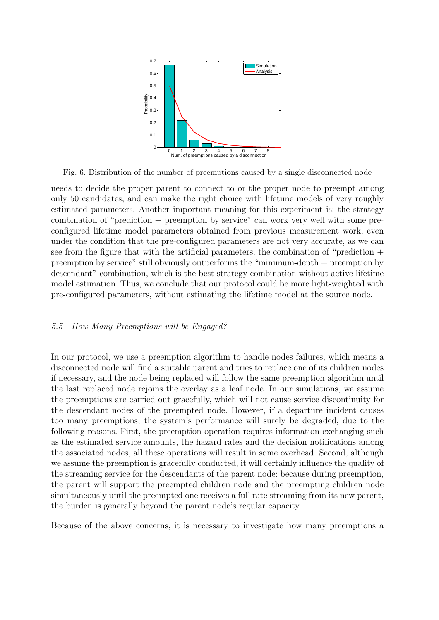

Fig. 6. Distribution of the number of preemptions caused by a single disconnected node

needs to decide the proper parent to connect to or the proper node to preempt among only 50 candidates, and can make the right choice with lifetime models of very roughly estimated parameters. Another important meaning for this experiment is: the strategy combination of "prediction + preemption by service" can work very well with some preconfigured lifetime model parameters obtained from previous measurement work, even under the condition that the pre-configured parameters are not very accurate, as we can see from the figure that with the artificial parameters, the combination of "prediction  $+$ preemption by service" still obviously outperforms the "minimum-depth + preemption by descendant" combination, which is the best strategy combination without active lifetime model estimation. Thus, we conclude that our protocol could be more light-weighted with pre-configured parameters, without estimating the lifetime model at the source node.

# 5.5 How Many Preemptions will be Engaged?

In our protocol, we use a preemption algorithm to handle nodes failures, which means a disconnected node will find a suitable parent and tries to replace one of its children nodes if necessary, and the node being replaced will follow the same preemption algorithm until the last replaced node rejoins the overlay as a leaf node. In our simulations, we assume the preemptions are carried out gracefully, which will not cause service discontinuity for the descendant nodes of the preempted node. However, if a departure incident causes too many preemptions, the system's performance will surely be degraded, due to the following reasons. First, the preemption operation requires information exchanging such as the estimated service amounts, the hazard rates and the decision notifications among the associated nodes, all these operations will result in some overhead. Second, although we assume the preemption is gracefully conducted, it will certainly influence the quality of the streaming service for the descendants of the parent node: because during preemption, the parent will support the preempted children node and the preempting children node simultaneously until the preempted one receives a full rate streaming from its new parent, the burden is generally beyond the parent node's regular capacity.

Because of the above concerns, it is necessary to investigate how many preemptions a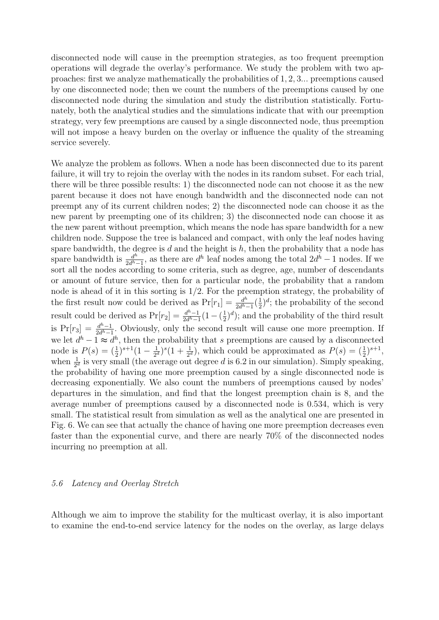disconnected node will cause in the preemption strategies, as too frequent preemption operations will degrade the overlay's performance. We study the problem with two approaches: first we analyze mathematically the probabilities of 1, 2, 3... preemptions caused by one disconnected node; then we count the numbers of the preemptions caused by one disconnected node during the simulation and study the distribution statistically. Fortunately, both the analytical studies and the simulations indicate that with our preemption strategy, very few preemptions are caused by a single disconnected node, thus preemption will not impose a heavy burden on the overlay or influence the quality of the streaming service severely.

We analyze the problem as follows. When a node has been disconnected due to its parent failure, it will try to rejoin the overlay with the nodes in its random subset. For each trial, there will be three possible results: 1) the disconnected node can not choose it as the new parent because it does not have enough bandwidth and the disconnected node can not preempt any of its current children nodes; 2) the disconnected node can choose it as the new parent by preempting one of its children; 3) the disconnected node can choose it as the new parent without preemption, which means the node has spare bandwidth for a new children node. Suppose the tree is balanced and compact, with only the leaf nodes having spare bandwidth, the degree is  $d$  and the height is  $h$ , then the probability that a node has spare bandwidth is  $\frac{d^h}{2dh}$  $\frac{d^h}{2d^h-1}$ , as there are  $d^h$  leaf nodes among the total  $2d^h-1$  nodes. If we sort all the nodes according to some criteria, such as degree, age, number of descendants or amount of future service, then for a particular node, the probability that a random node is ahead of it in this sorting is 1/2. For the preemption strategy, the probability of the first result now could be derived as  $Pr[r_1] = \frac{d^h}{2d^h}$ .  $rac{d^h}{2d^h-1}(\frac{1}{2})$  $(\frac{1}{2})^d$ ; the probability of the second result could be derived as  $Pr[r_2] = \frac{d^h-1}{2d^h-1}$  $\frac{d^{h}-1}{2d^{h}-1}(1-(\frac{1}{2})$  $(\frac{1}{2})^d$ ; and the probability of the third result is  $Pr[r_3] = \frac{d^{h}-1}{2d^{h}-1}$  $\frac{d^n-1}{2d^n-1}$ . Obviously, only the second result will cause one more preemption. If we let  $d^h - 1 \approx d^h$ , then the probability that s preemptions are caused by a disconnected node is  $P(s) = (\frac{1}{2})^{s+1}(1 - \frac{1}{2^s})$  $\frac{1}{2^d}$ )<sup>s</sup>(1 +  $\frac{1}{2^d}$ ), which could be approximated as  $P(s) = (\frac{1}{2})^{s+1}$ , when  $\frac{1}{2^d}$  is very small (the average out degree d is 6.2 in our simulation). Simply speaking, the probability of having one more preemption caused by a single disconnected node is decreasing exponentially. We also count the numbers of preemptions caused by nodes' departures in the simulation, and find that the longest preemption chain is 8, and the average number of preemptions caused by a disconnected node is 0.534, which is very small. The statistical result from simulation as well as the analytical one are presented in Fig. 6. We can see that actually the chance of having one more preemption decreases even faster than the exponential curve, and there are nearly 70% of the disconnected nodes incurring no preemption at all.

#### 5.6 Latency and Overlay Stretch

Although we aim to improve the stability for the multicast overlay, it is also important to examine the end-to-end service latency for the nodes on the overlay, as large delays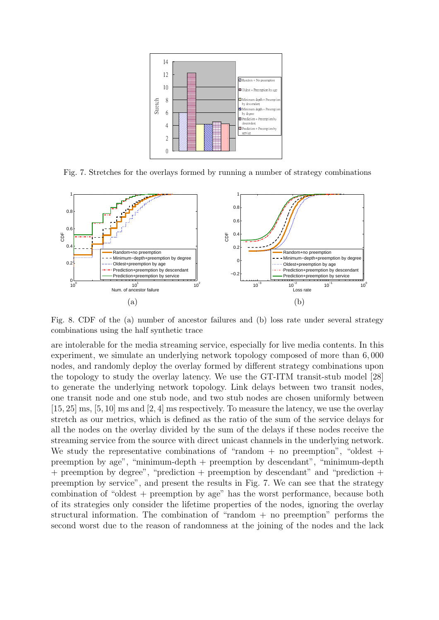

Fig. 7. Stretches for the overlays formed by running a number of strategy combinations



Fig. 8. CDF of the (a) number of ancestor failures and (b) loss rate under several strategy combinations using the half synthetic trace

are intolerable for the media streaming service, especially for live media contents. In this experiment, we simulate an underlying network topology composed of more than 6, 000 nodes, and randomly deploy the overlay formed by different strategy combinations upon the topology to study the overlay latency. We use the GT-ITM transit-stub model [28] to generate the underlying network topology. Link delays between two transit nodes, one transit node and one stub node, and two stub nodes are chosen uniformly between [15, 25] ms, [5, 10] ms and [2, 4] ms respectively. To measure the latency, we use the overlay stretch as our metrics, which is defined as the ratio of the sum of the service delays for all the nodes on the overlay divided by the sum of the delays if these nodes receive the streaming service from the source with direct unicast channels in the underlying network. We study the representative combinations of "random  $+$  no preemption", "oldest  $+$ preemption by age", "minimum-depth  $+$  preemption by descendant", "minimum-depth + preemption by degree", "prediction + preemption by descendant" and "prediction + preemption by service", and present the results in Fig. 7. We can see that the strategy combination of "oldest + preemption by age" has the worst performance, because both of its strategies only consider the lifetime properties of the nodes, ignoring the overlay structural information. The combination of "random + no preemption" performs the second worst due to the reason of randomness at the joining of the nodes and the lack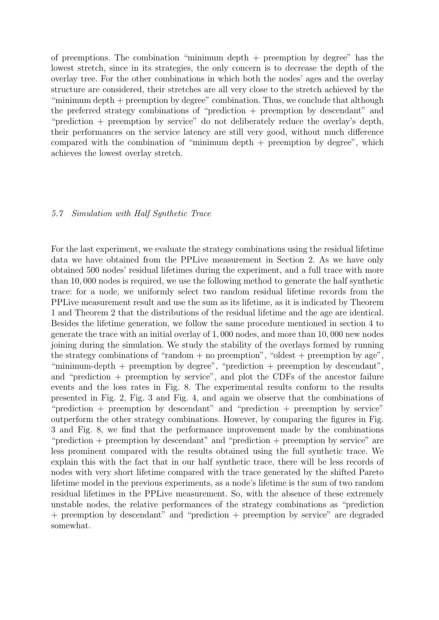of preemptions. The combination "minimum depth + preemption by degree" has the lowest stretch, since in its strategies, the only concern is to decrease the depth of the overlay tree. For the other combinations in which both the nodes' ages and the overlay structure are considered, their stretches are all very close to the stretch achieved by the "minimum depth + preemption by degree" combination. Thus, we conclude that although the preferred strategy combinations of "prediction + preemption by descendant" and "prediction + preemption by service" do not deliberately reduce the overlay's depth, their performances on the service latency are still very good, without much difference compared with the combination of "minimum depth  $+$  preemption by degree", which achieves the lowest overlay stretch.

### 5.7 Simulation with Half Synthetic Trace

For the last experiment, we evaluate the strategy combinations using the residual lifetime data we have obtained from the PPLive measurement in Section 2. As we have only obtained 500 nodes' residual lifetimes during the experiment, and a full trace with more than 10, 000 nodes is required, we use the following method to generate the half synthetic trace: for a node, we uniformly select two random residual lifetime records from the PPLive measurement result and use the sum as its lifetime, as it is indicated by Theorem 1 and Theorem 2 that the distributions of the residual lifetime and the age are identical. Besides the lifetime generation, we follow the same procedure mentioned in section 4 to generate the trace with an initial overlay of 1, 000 nodes, and more than 10, 000 new nodes joining during the simulation. We study the stability of the overlays formed by running the strategy combinations of "random + no preemption", "oldest + preemption by age", "minimum-depth  $+$  preemption by degree", "prediction  $+$  preemption by descendant", and "prediction + preemption by service", and plot the CDFs of the ancestor failure events and the loss rates in Fig. 8. The experimental results conform to the results presented in Fig. 2, Fig. 3 and Fig. 4, and again we observe that the combinations of "prediction + preemption by descendant" and "prediction + preemption by service" outperform the other strategy combinations. However, by comparing the figures in Fig. 3 and Fig. 8, we find that the performance improvement made by the combinations "prediction  $+$  preemption by descendant" and "prediction  $+$  preemption by service" are less prominent compared with the results obtained using the full synthetic trace. We explain this with the fact that in our half synthetic trace, there will be less records of nodes with very short lifetime compared with the trace generated by the shifted Pareto lifetime model in the previous experiments, as a node's lifetime is the sum of two random residual lifetimes in the PPLive measurement. So, with the absence of these extremely unstable nodes, the relative performances of the strategy combinations as "prediction + preemption by descendant" and "prediction + preemption by service" are degraded somewhat.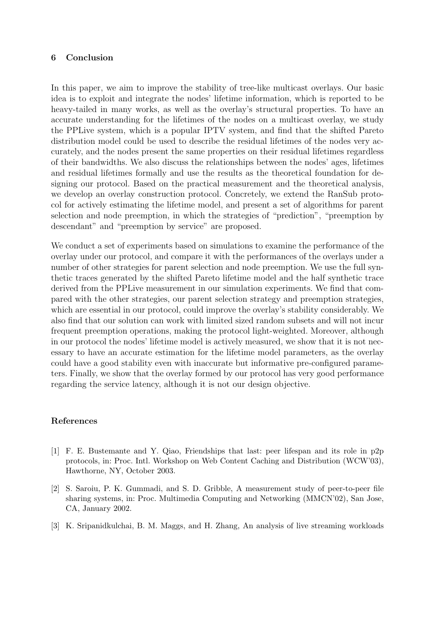# 6 Conclusion

In this paper, we aim to improve the stability of tree-like multicast overlays. Our basic idea is to exploit and integrate the nodes' lifetime information, which is reported to be heavy-tailed in many works, as well as the overlay's structural properties. To have an accurate understanding for the lifetimes of the nodes on a multicast overlay, we study the PPLive system, which is a popular IPTV system, and find that the shifted Pareto distribution model could be used to describe the residual lifetimes of the nodes very accurately, and the nodes present the same properties on their residual lifetimes regardless of their bandwidths. We also discuss the relationships between the nodes' ages, lifetimes and residual lifetimes formally and use the results as the theoretical foundation for designing our protocol. Based on the practical measurement and the theoretical analysis, we develop an overlay construction protocol. Concretely, we extend the RanSub protocol for actively estimating the lifetime model, and present a set of algorithms for parent selection and node preemption, in which the strategies of "prediction", "preemption by descendant" and "preemption by service" are proposed.

We conduct a set of experiments based on simulations to examine the performance of the overlay under our protocol, and compare it with the performances of the overlays under a number of other strategies for parent selection and node preemption. We use the full synthetic traces generated by the shifted Pareto lifetime model and the half synthetic trace derived from the PPLive measurement in our simulation experiments. We find that compared with the other strategies, our parent selection strategy and preemption strategies, which are essential in our protocol, could improve the overlay's stability considerably. We also find that our solution can work with limited sized random subsets and will not incur frequent preemption operations, making the protocol light-weighted. Moreover, although in our protocol the nodes' lifetime model is actively measured, we show that it is not necessary to have an accurate estimation for the lifetime model parameters, as the overlay could have a good stability even with inaccurate but informative pre-configured parameters. Finally, we show that the overlay formed by our protocol has very good performance regarding the service latency, although it is not our design objective.

### References

- [1] F. E. Bustemante and Y. Qiao, Friendships that last: peer lifespan and its role in p2p protocols, in: Proc. Intl. Workshop on Web Content Caching and Distribution (WCW'03), Hawthorne, NY, October 2003.
- [2] S. Saroiu, P. K. Gummadi, and S. D. Gribble, A measurement study of peer-to-peer file sharing systems, in: Proc. Multimedia Computing and Networking (MMCN'02), San Jose, CA, January 2002.
- [3] K. Sripanidkulchai, B. M. Maggs, and H. Zhang, An analysis of live streaming workloads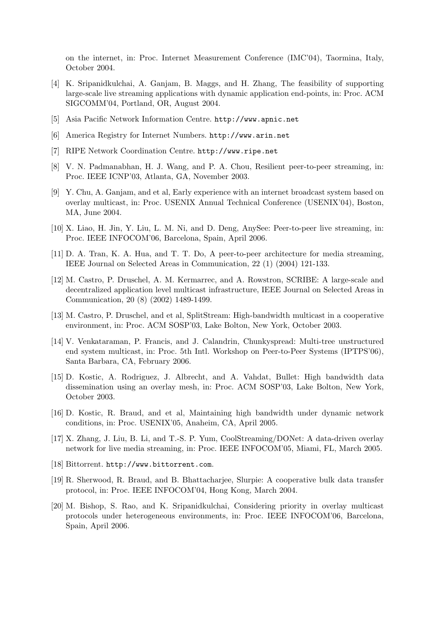on the internet, in: Proc. Internet Measurement Conference (IMC'04), Taormina, Italy, October 2004.

- [4] K. Sripanidkulchai, A. Ganjam, B. Maggs, and H. Zhang, The feasibility of supporting large-scale live streaming applications with dynamic application end-points, in: Proc. ACM SIGCOMM'04, Portland, OR, August 2004.
- [5] Asia Pacific Network Information Centre. http://www.apnic.net
- [6] America Registry for Internet Numbers. http://www.arin.net
- [7] RIPE Network Coordination Centre. http://www.ripe.net
- [8] V. N. Padmanabhan, H. J. Wang, and P. A. Chou, Resilient peer-to-peer streaming, in: Proc. IEEE ICNP'03, Atlanta, GA, November 2003.
- [9] Y. Chu, A. Ganjam, and et al, Early experience with an internet broadcast system based on overlay multicast, in: Proc. USENIX Annual Technical Conference (USENIX'04), Boston, MA, June 2004.
- [10] X. Liao, H. Jin, Y. Liu, L. M. Ni, and D. Deng, AnySee: Peer-to-peer live streaming, in: Proc. IEEE INFOCOM'06, Barcelona, Spain, April 2006.
- [11] D. A. Tran, K. A. Hua, and T. T. Do, A peer-to-peer architecture for media streaming, IEEE Journal on Selected Areas in Communication, 22 (1) (2004) 121-133.
- [12] M. Castro, P. Druschel, A. M. Kermarrec, and A. Rowstron, SCRIBE: A large-scale and decentralized application level multicast infrastructure, IEEE Journal on Selected Areas in Communication, 20 (8) (2002) 1489-1499.
- [13] M. Castro, P. Druschel, and et al, SplitStream: High-bandwidth multicast in a cooperative environment, in: Proc. ACM SOSP'03, Lake Bolton, New York, October 2003.
- [14] V. Venkataraman, P. Francis, and J. Calandrin, Chunkyspread: Multi-tree unstructured end system multicast, in: Proc. 5th Intl. Workshop on Peer-to-Peer Systems (IPTPS'06), Santa Barbara, CA, February 2006.
- [15] D. Kostic, A. Rodriguez, J. Albrecht, and A. Vahdat, Bullet: High bandwidth data dissemination using an overlay mesh, in: Proc. ACM SOSP'03, Lake Bolton, New York, October 2003.
- [16] D. Kostic, R. Braud, and et al, Maintaining high bandwidth under dynamic network conditions, in: Proc. USENIX'05, Anaheim, CA, April 2005.
- [17] X. Zhang, J. Liu, B. Li, and T.-S. P. Yum, CoolStreaming/DONet: A data-driven overlay network for live media streaming, in: Proc. IEEE INFOCOM'05, Miami, FL, March 2005.
- [18] Bittorrent. http://www.bittorrent.com.
- [19] R. Sherwood, R. Braud, and B. Bhattacharjee, Slurpie: A cooperative bulk data transfer protocol, in: Proc. IEEE INFOCOM'04, Hong Kong, March 2004.
- [20] M. Bishop, S. Rao, and K. Sripanidkulchai, Considering priority in overlay multicast protocols under heterogeneous environments, in: Proc. IEEE INFOCOM'06, Barcelona, Spain, April 2006.